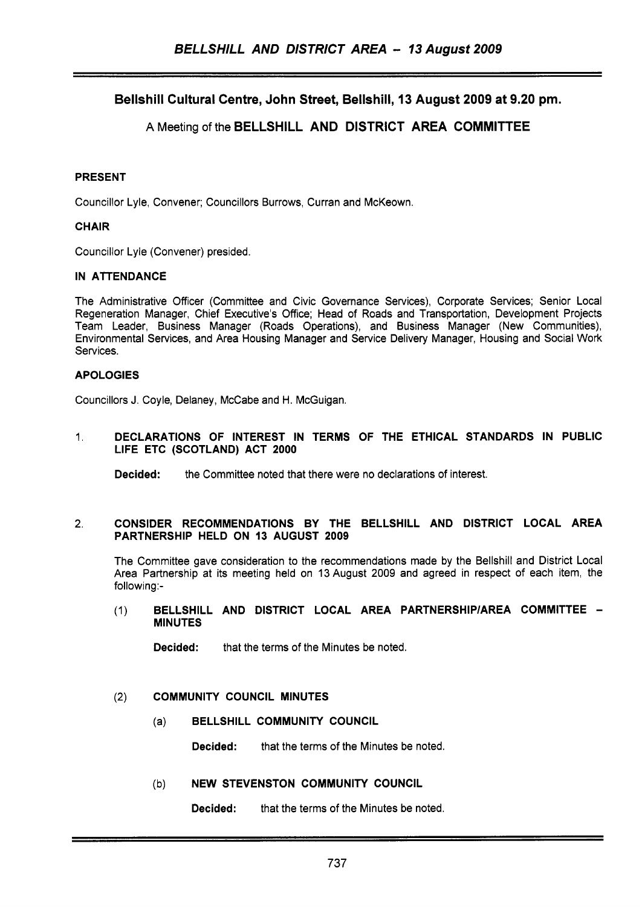Bellshill Cultural Centre, John Street, Bellshill, 13 August 2009 at 9.20 pm.

# A Meeting of the BELLSHILL AND DISTRICT AREA COMMITTEE

## PRESENT

Councillor Lyle, Convener; Councillors Burrows, Curran and McKeown.

## **CHAIR**

Councillor Lyle (Convener) presided.

## IN ATTENDANCE

The Administrative Officer (Committee and Civic Governance Services), Corporate Services; Senior Local Regeneration Manager, Chief Executive's Office; Head of Roads and Transportation, Development Projects Team Leader, Business Manager (Roads Operations), and Business Manager (New Communities), Environmental Services, and Area Housing Manager and Service Delivery Manager, Housing and Social Work Services.

## APOLOGIES

Councillors J. Coyle, Delaney, McCabe and H. McGuigan.

#### 1. DECLARATIONS OF INTEREST IN TERMS OF THE ETHICAL STANDARDS IN PUBLIC LIFE ETC (SCOTLAND) ACT 2000

Decided: the Committee noted that there were no declarations of interest.

#### 2. CONSIDER RECOMMENDATIONS BY THE BELLSHILL AND DISTRICT LOCAL AREA PARTNERSHIP HELD ON 13 AUGUST 2009

The Committee gave consideration to the recommendations made by the Bellshill and District Local Area Partnership at its meeting held on 13 August 2009 and agreed in respect of each item, the following:-

#### (1) BELLSHILL AND DISTRICT LOCAL AREA PARTNERSHIP/AREA COMMITTEE -MINUTES

**Decided:** that the terms of the Minutes be noted.

### (2) COMMUNITY COUNCIL MINUTES

(a) BELLSHILL COMMUNITY COUNCIL

Decided: that the terms of the Minutes be noted.

### (b) NEW STEVENSTON COMMUNITY COUNCIL

Decided: that the terms of the Minutes be noted.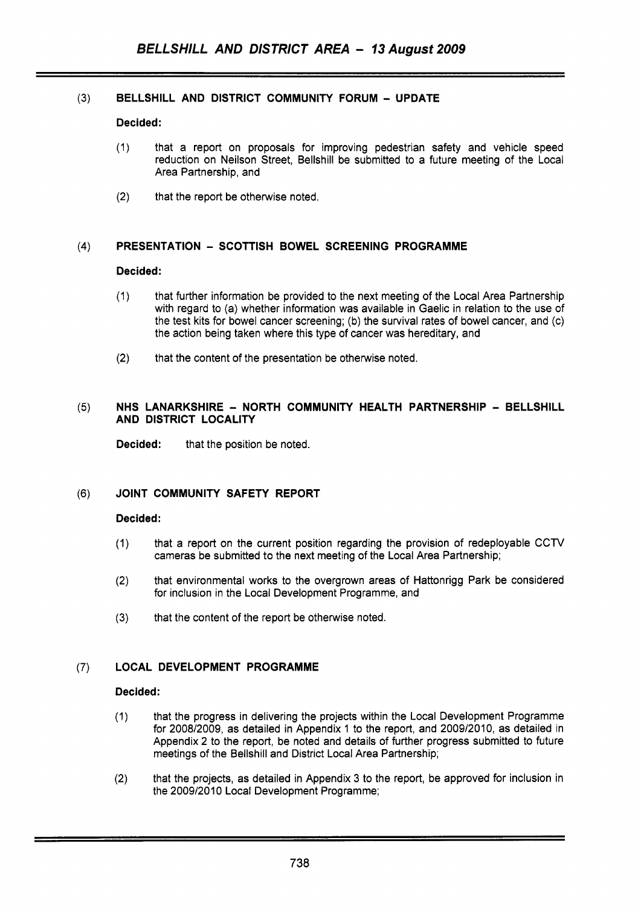## **(3) BELLSHILL AND DISTRICT COMMUNITY FORUM** - **UPDATE**

#### **Decided:**

- (I) that a report on proposals for improving pedestrian safety and vehicle speed reduction on Neilson Street, Bellshill be submitted to a future meeting of the Local Area Partnership, and
- **(2)** that the report be otherwise noted.

### **(4) PRESENTATION** - **SCOTTISH BOWEL SCREENING PROGRAMME**

#### **Decided:**

- (1) that further information be provided to the next meeting of the Local Area Partnership with regard to (a) whether information was available in Gaelic in relation to the use of the test kits for bowel cancer screening; (b) the survival rates of bowel cancer, and (c) the action being taken where this type of cancer was hereditary, and
- (2) that the content of the presentation be otherwise noted.

#### (5) **NHS LANARKSHIRE - NORTH COMMUNITY HEALTH PARTNERSHIP - BELLSHILL AND DISTRICT LOCALITY**

**Decided:** that the position be noted.

### **(6) JOINT COMMUNITY SAFETY REPORT**

#### **Decided:**

- (1) that a report on the current position regarding the provision of redeployable CCTV cameras be submitted to the next meeting of the Local Area Partnership;
- (2) that environmental works to the overgrown areas of Hattonrigg Park be considered for inclusion in the Local Development Programme, and
- **(3)** that the content of the report be otherwise noted.

### (7) **LOCAL DEVELOPMENT PROGRAMME**

#### **Decided:**

- (1) that the progress in delivering the projects within the Local Development Programme for 2008/2009, as detailed in Appendix 1 to the report, and 2009/2010, as detailed in Appendix 2 to the report, be noted and details of further progress submitted to future meetings of the Bellshill and District Local Area Partnership;
- that the projects, as detailed in Appendix 3 to the report, be approved for inclusion in (2) that the projects, as detailed in Appendix 3 to the 2009/2010 Local Development Programme;